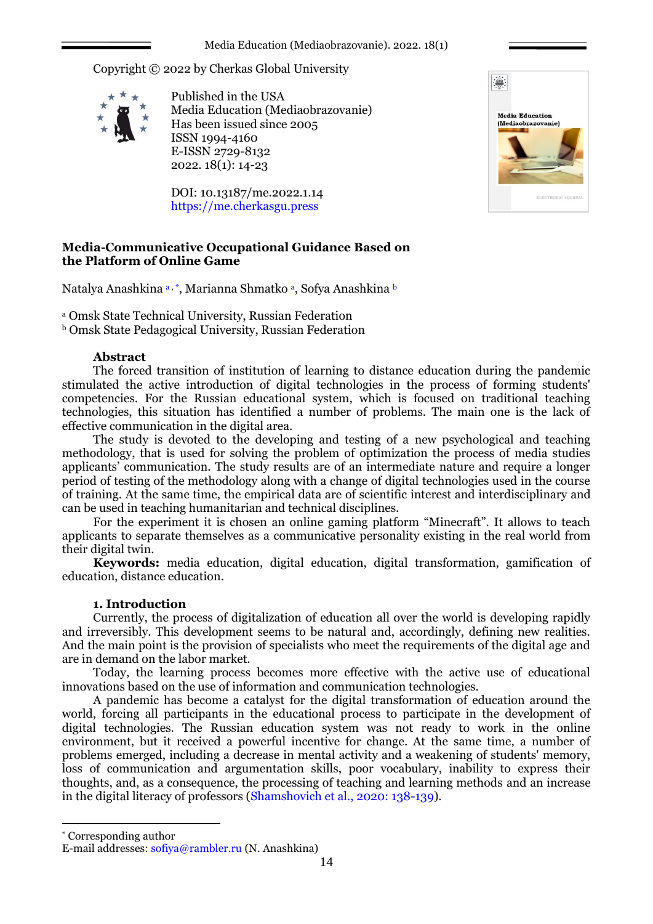Copyright © 2022 by Cherkas Global University



Published in the USA Media Education (Mediaobrazovanie) Has been issued since 2005 ISSN 1994-4160 E-ISSN 2729-8132 2022. 18(1): 14-23

DOI: 10.13187/me.2022.1.14 https://me.cherkasgu.press



# **Media-Communicative Occupational Guidance Based on the Platform of Online Game**

Natalya Anashkina a, \*, Marianna Shmatko a, Sofya Anashkina b

<sup>a</sup> Omsk State Technical University, Russian Federation

<sup>b</sup> Omsk State Pedagogical University, Russian Federation

### **Abstract**

The forced transition of institution of learning to distance education during the pandemic stimulated the active introduction of digital technologies in the process of forming students' competencies. For the Russian educational system, which is focused on traditional teaching technologies, this situation has identified a number of problems. The main one is the lack of effective communication in the digital area.

The study is devoted to the developing and testing of a new psychological and teaching methodology, that is used for solving the problem of optimization the process of media studies applicants' communication. The study results are of an intermediate nature and require a longer period of testing of the methodology along with a change of digital technologies used in the course of training. At the same time, the empirical data are of scientific interest and interdisciplinary and can be used in teaching humanitarian and technical disciplines.

For the experiment it is chosen an online gaming platform "Minecraft". It allows to teach applicants to separate themselves as a communicative personality existing in the real world from their digital twin.

**Keywords:** media education, digital education, digital transformation, gamification of education, distance education.

# **1. Introduction**

Currently, the process of digitalization of education all over the world is developing rapidly and irreversibly. This development seems to be natural and, accordingly, defining new realities. And the main point is the provision of specialists who meet the requirements of the digital age and are in demand on the labor market.

Today, the learning process becomes more effective with the active use of educational innovations based on the use of information and communication technologies.

A pandemic has become a catalyst for the digital transformation of education around the world, forcing all participants in the educational process to participate in the development of digital technologies. The Russian education system was not ready to work in the online environment, but it received a powerful incentive for change. At the same time, a number of problems emerged, including a decrease in mental activity and a weakening of students' memory, loss of communication and argumentation skills, poor vocabulary, inability to express their thoughts, and, as a consequence, the processing of teaching and learning methods and an increase in the digital literacy of professors (Shamshovich et al., 2020: 138-139).

\* Corresponding author

1

E-mail addresses: [sofiya@rambler.ru](mailto:sofiya@rambler.ru) (N. Anashkina)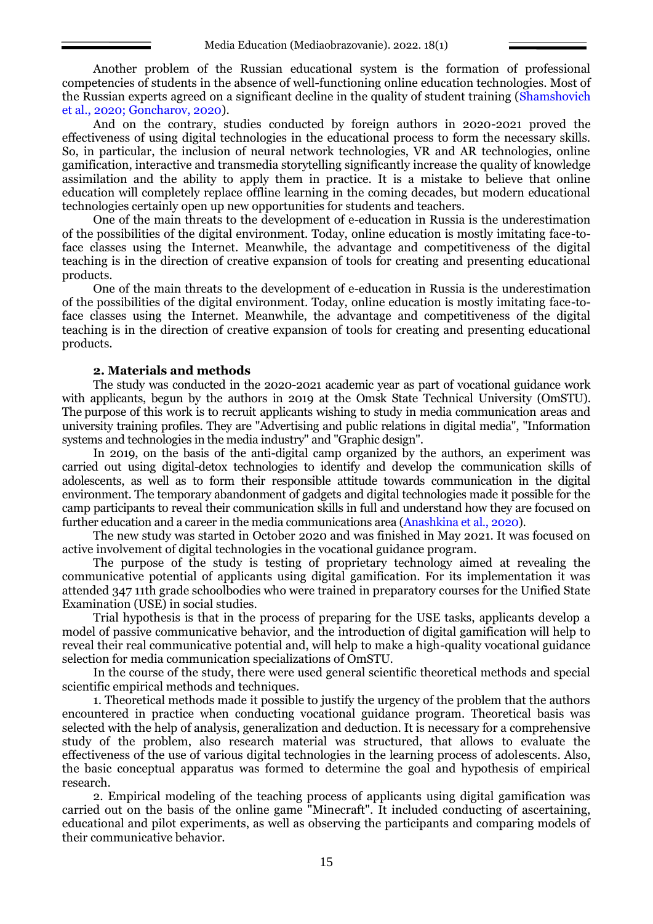Another problem of the Russian educational system is the formation of professional competencies of students in the absence of well-functioning online education technologies. Most of the Russian experts agreed on a significant decline in the quality of student training (Shamshovich et al., 2020; Goncharov, 2020).

And on the contrary, studies conducted by foreign authors in 2020-2021 proved the effectiveness of using digital technologies in the educational process to form the necessary skills. So, in particular, the inclusion of neural network technologies, VR and AR technologies, online gamification, interactive and transmedia storytelling significantly increase the quality of knowledge assimilation and the ability to apply them in practice. It is a mistake to believe that online education will completely replace offline learning in the coming decades, but modern educational technologies certainly open up new opportunities for students and teachers.

One of the main threats to the development of e-education in Russia is the underestimation of the possibilities of the digital environment. Today, online education is mostly imitating face-toface classes using the Internet. Meanwhile, the advantage and competitiveness of the digital teaching is in the direction of creative expansion of tools for creating and presenting educational products.

One of the main threats to the development of e-education in Russia is the underestimation of the possibilities of the digital environment. Today, online education is mostly imitating face-toface classes using the Internet. Meanwhile, the advantage and competitiveness of the digital teaching is in the direction of creative expansion of tools for creating and presenting educational products.

#### **2. Materials and methods**

The study was conducted in the 2020-2021 academic year as part of vocational guidance work with applicants, begun by the authors in 2019 at the Omsk State Technical University (OmSTU). The purpose of this work is to recruit applicants wishing to study in media communication areas and university training profiles. They are "Advertising and public relations in digital media", "Information systems and technologies in the media industry" and "Graphic design".

In 2019, on the basis of the anti-digital camp organized by the authors, an experiment was carried out using digital-detox technologies to identify and develop the communication skills of adolescents, as well as to form their responsible attitude towards communication in the digital environment. The temporary abandonment of gadgets and digital technologies made it possible for the camp participants to reveal their communication skills in full and understand how they are focused on further education and a career in the media communications area (Anashkina et al., 2020).

The new study was started in October 2020 and was finished in May 2021. It was focused on active involvement of digital technologies in the vocational guidance program.

The purpose of the study is testing of proprietary technology aimed at revealing the communicative potential of applicants using digital gamification. For its implementation it was attended 347 11th grade schoolbodies who were trained in preparatory courses for the Unified State Examination (USE) in social studies.

Trial hypothesis is that in the process of preparing for the USE tasks, applicants develop a model of passive communicative behavior, and the introduction of digital gamification will help to reveal their real communicative potential and, will help to make a high-quality vocational guidance selection for media communication specializations of OmSTU.

In the course of the study, there were used general scientific theoretical methods and special scientific empirical methods and techniques.

1. Theoretical methods made it possible to justify the urgency of the problem that the authors encountered in practice when conducting vocational guidance program. Theoretical basis was selected with the help of analysis, generalization and deduction. It is necessary for a comprehensive study of the problem, also research material was structured, that allows to evaluate the effectiveness of the use of various digital technologies in the learning process of adolescents. Also, the basic conceptual apparatus was formed to determine the goal and hypothesis of empirical research.

2. Empirical modeling of the teaching process of applicants using digital gamification was carried out on the basis of the online game "Minecraft". It included conducting of ascertaining, educational and pilot experiments, as well as observing the participants and comparing models of their communicative behavior.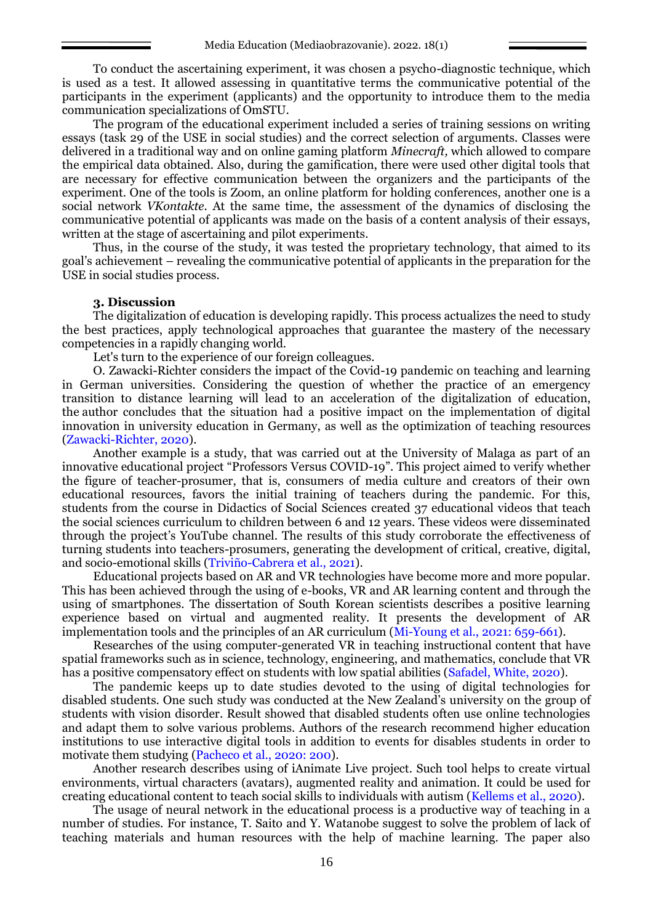To conduct the ascertaining experiment, it was chosen a psycho-diagnostic technique, which is used as a test. It allowed assessing in quantitative terms the communicative potential of the participants in the experiment (applicants) and the opportunity to introduce them to the media communication specializations of OmSTU.

The program of the educational experiment included a series of training sessions on writing essays (task 29 of the USE in social studies) and the correct selection of arguments. Classes were delivered in a traditional way and on online gaming platform *Minecraft,* which allowed to compare the empirical data obtained. Also, during the gamification, there were used other digital tools that are necessary for effective communication between the organizers and the participants of the experiment. One of the tools is Zoom, an online platform for holding conferences, another one is a social network *VKontakte*. At the same time, the assessment of the dynamics of disclosing the communicative potential of applicants was made on the basis of a content analysis of their essays, written at the stage of ascertaining and pilot experiments.

Thus, in the course of the study, it was tested the proprietary technology, that aimed to its goal's achievement – revealing the communicative potential of applicants in the preparation for the USE in social studies process.

### **3. Discussion**

The digitalization of education is developing rapidly. This process actualizes the need to study the best practices, apply technological approaches that guarantee the mastery of the necessary competencies in a rapidly changing world.

Let's turn to the experience of our foreign colleagues.

O. Zawacki-Richter considers the impact of the Covid-19 pandemic on teaching and learning in German universities. Considering the question of whether the practice of an emergency transition to distance learning will lead to an acceleration of the digitalization of education, the author concludes that the situation had a positive impact on the implementation of digital innovation in university education in Germany, as well as the optimization of teaching resources (Zawacki-Richter, 2020).

Another example is a study, that was carried out at the University of Malaga as part of an innovative educational project "Professors Versus COVID-19". This project aimed to verify whether the figure of teacher-prosumer, that is, consumers of media culture and creators of their own educational resources, favors the initial training of teachers during the pandemic. For this, students from the course in Didactics of Social Sciences created 37 educational videos that teach the social sciences curriculum to children between 6 and 12 years. These videos were disseminated through the project's YouTube channel. The results of this study corroborate the effectiveness of turning students into teachers-prosumers, generating the development of critical, creative, digital, and socio-emotional skills (Triviño-Cabrera et al., 2021).

Educational projects based on AR and VR technologies have become more and more popular. This has been achieved through the using of e-books, VR and AR learning content and through the using of smartphones. The dissertation of South Korean scientists describes a positive learning experience based on virtual and augmented reality. It presents the development of AR implementation tools and the principles of an AR curriculum (Mi-Young et al., 2021: 659-661).

Researches of the using computer-generated VR in teaching instructional content that have spatial frameworks such as in science, technology, engineering, and mathematics, conclude that VR has a positive compensatory effect on students with low spatial abilities (Safadel, White, 2020).

The pandemic keeps up to date studies devoted to the using of digital technologies for disabled students. One such study was conducted at the New Zealand's university on the group of students with vision disorder. Result showed that disabled students often use online technologies and adapt them to solve various problems. Authors of the research recommend higher education institutions to use interactive digital tools in addition to events for disables students in order to motivate them studying (Pacheco et al., 2020: 200).

Another research describes using of iAnimate Live project. Such tool helps to create virtual environments, virtual characters (avatars), augmented reality and animation. It could be used for creating educational content to teach social skills to individuals with autism (Kellems et al., 2020).

The usage of neural network in the educational process is a productive way of teaching in a number of studies. For instance, T. Saito and Y. Watanobe suggest to solve the problem of lack of teaching materials and human resources with the help of machine learning. The paper also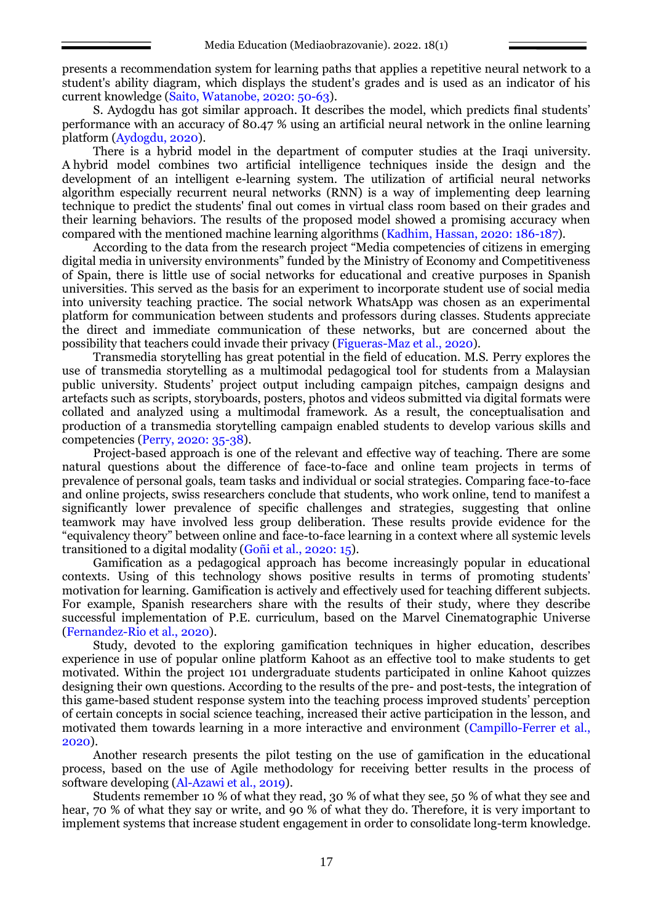presents a recommendation system for learning paths that applies a repetitive neural network to a student's ability diagram, which displays the student's grades and is used as an indicator of his current knowledge (Saito, Watanobe, 2020: 50-63).

S. Aydogdu has got similar approach. It describes the model, which predicts final students' performance with an accuracy of 80.47 % using an artificial neural network in the online learning platform (Aydogdu, 2020).

There is a hybrid model in the department of computer studies at the Iraqi university. A hybrid model combines two artificial intelligence techniques inside the design and the development of an intelligent e-learning system. The utilization of artificial neural networks algorithm especially recurrent neural networks (RNN) is a way of implementing deep learning technique to predict the students' final out comes in virtual class room based on their grades and their learning behaviors. The results of the proposed model showed a promising accuracy when compared with the mentioned machine learning algorithms (Kadhim, Hassan, 2020: 186-187).

According to the data from the research project "Media competencies of citizens in emerging digital media in university environments" funded by the Ministry of Economy and Competitiveness of Spain, there is little use of social networks for educational and creative purposes in Spanish universities. This served as the basis for an experiment to incorporate student use of social media into university teaching practice. The social network WhatsApp was chosen as an experimental platform for communication between students and professors during classes. Students appreciate the direct and immediate communication of these networks, but are concerned about the possibility that teachers could invade their privacy (Figueras-Maz et al., 2020).

Transmedia storytelling has great potential in the field of education. M.S. Perry explores the use of transmedia storytelling as a multimodal pedagogical tool for students from a Malaysian public university. Students' project output including campaign pitches, campaign designs and artefacts such as scripts, storyboards, posters, photos and videos submitted via digital formats were collated and analyzed using a multimodal framework. As a result, the conceptualisation and production of a transmedia storytelling campaign enabled students to develop various skills and competencies (Perry, 2020: 35-38).

Project-based approach is one of the relevant and effective way of teaching. There are some natural questions about the difference of face-to-face and online team projects in terms of prevalence of personal goals, team tasks and individual or social strategies. Comparing face-to-face and online projects, swiss researchers conclude that students, who work online, tend to manifest a significantly lower prevalence of specific challenges and strategies, suggesting that online teamwork may have involved less group deliberation. These results provide evidence for the "equivalency theory" between online and face-to-face learning in a context where all systemic levels transitioned to a digital modality (Goñi et al., 2020: 15).

Gamification as a pedagogical approach has become increasingly popular in educational contexts. Using of this technology shows positive results in terms of promoting students' motivation for learning. Gamification is actively and effectively used for teaching different subjects. For example, Spanish researchers share with the results of their study, where they describe successful implementation of P.E. curriculum, based on the Marvel Cinematographic Universe (Fernandez-Rio et al., 2020).

Study, devoted to the exploring gamification techniques in higher education, describes experience in use of popular online platform Kahoot as an effective tool to make students to get motivated. Within the project 101 undergraduate students participated in online Kahoot quizzes designing their own questions. According to the results of the pre- and post-tests, the integration of this game-based student response system into the teaching process improved students' perception of certain concepts in social science teaching, increased their active participation in the lesson, and motivated them towards learning in a more interactive and environment (Campillo-Ferrer et al., 2020).

Another research presents the pilot testing on the use of gamification in the educational process, based on the use of Agile methodology for receiving better results in the process of software developing (Al-Azawi et al., 2019).

Students remember 10 % of what they read, 30 % of what they see, 50 % of what they see and hear, 70 % of what they say or write, and 90 % of what they do. Therefore, it is very important to implement systems that increase student engagement in order to consolidate long-term knowledge.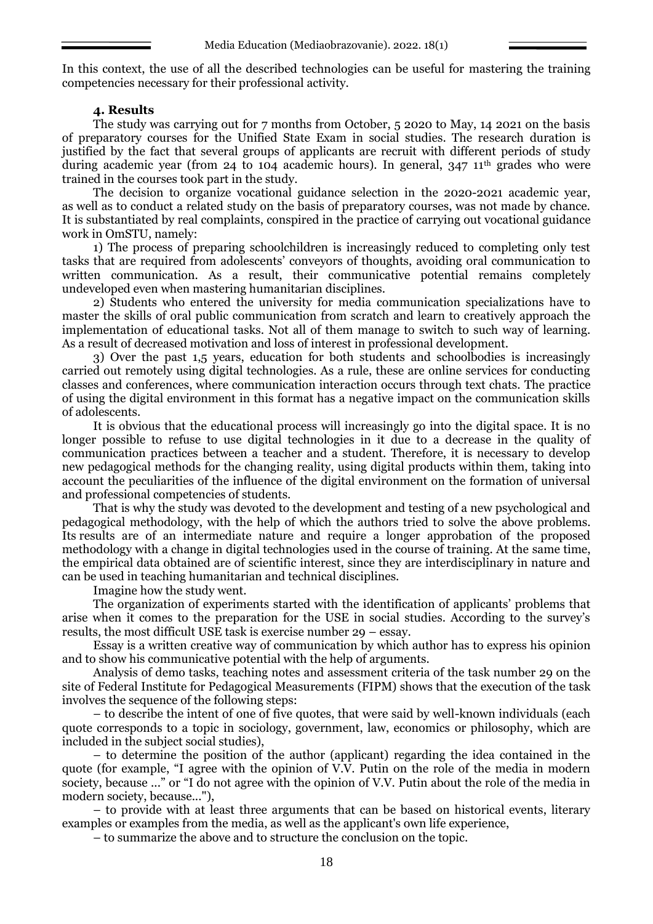In this context, the use of all the described technologies can be useful for mastering the training competencies necessary for their professional activity.

#### **4. Results**

The study was carrying out for 7 months from October, 5 2020 to May, 14 2021 on the basis of preparatory courses for the Unified State Exam in social studies. The research duration is justified by the fact that several groups of applicants are recruit with different periods of study during academic year (from 24 to 104 academic hours). In general,  $347 \, 11^{\text{th}}$  grades who were trained in the courses took part in the study.

The decision to organize vocational guidance selection in the 2020-2021 academic year, as well as to conduct a related study on the basis of preparatory courses, was not made by chance. It is substantiated by real complaints, conspired in the practice of carrying out vocational guidance work in OmSTU, namely:

1) The process of preparing schoolchildren is increasingly reduced to completing only test tasks that are required from adolescents' conveyors of thoughts, avoiding oral communication to written communication. As a result, their communicative potential remains completely undeveloped even when mastering humanitarian disciplines.

2) Students who entered the university for media communication specializations have to master the skills of oral public communication from scratch and learn to creatively approach the implementation of educational tasks. Not all of them manage to switch to such way of learning. As a result of decreased motivation and loss of interest in professional development.

3) Over the past 1,5 years, education for both students and schoolbodies is increasingly carried out remotely using digital technologies. As a rule, these are online services for conducting classes and conferences, where communication interaction occurs through text chats. The practice of using the digital environment in this format has a negative impact on the communication skills of adolescents.

It is obvious that the educational process will increasingly go into the digital space. It is no longer possible to refuse to use digital technologies in it due to a decrease in the quality of communication practices between a teacher and a student. Therefore, it is necessary to develop new pedagogical methods for the changing reality, using digital products within them, taking into account the peculiarities of the influence of the digital environment on the formation of universal and professional competencies of students.

That is why the study was devoted to the development and testing of a new psychological and pedagogical methodology, with the help of which the authors tried to solve the above problems. Its results are of an intermediate nature and require a longer approbation of the proposed methodology with a change in digital technologies used in the course of training. At the same time, the empirical data obtained are of scientific interest, since they are interdisciplinary in nature and can be used in teaching humanitarian and technical disciplines.

Imagine how the study went.

The organization of experiments started with the identification of applicants' problems that arise when it comes to the preparation for the USE in social studies. According to the survey's results, the most difficult USE task is exercise number 29 – essay.

Essay is a written creative way of communication by which author has to express his opinion and to show his communicative potential with the help of arguments.

Analysis of demo tasks, teaching notes and assessment criteria of the task number 29 on the site of Federal Institute for Pedagogical Measurements (FIPM) shows that the execution of the task involves the sequence of the following steps:

– to describe the intent of one of five quotes, that were said by well-known individuals (each quote corresponds to a topic in sociology, government, law, economics or philosophy, which are included in the subject social studies),

– to determine the position of the author (applicant) regarding the idea contained in the quote (for example, "I agree with the opinion of V.V. Putin on the role of the media in modern society, because ..." or "I do not agree with the opinion of V.V. Putin about the role of the media in modern society, because..."),

– to provide with at least three arguments that can be based on historical events, literary examples or examples from the media, as well as the applicant's own life experience,

– to summarize the above and to structure the conclusion on the topic.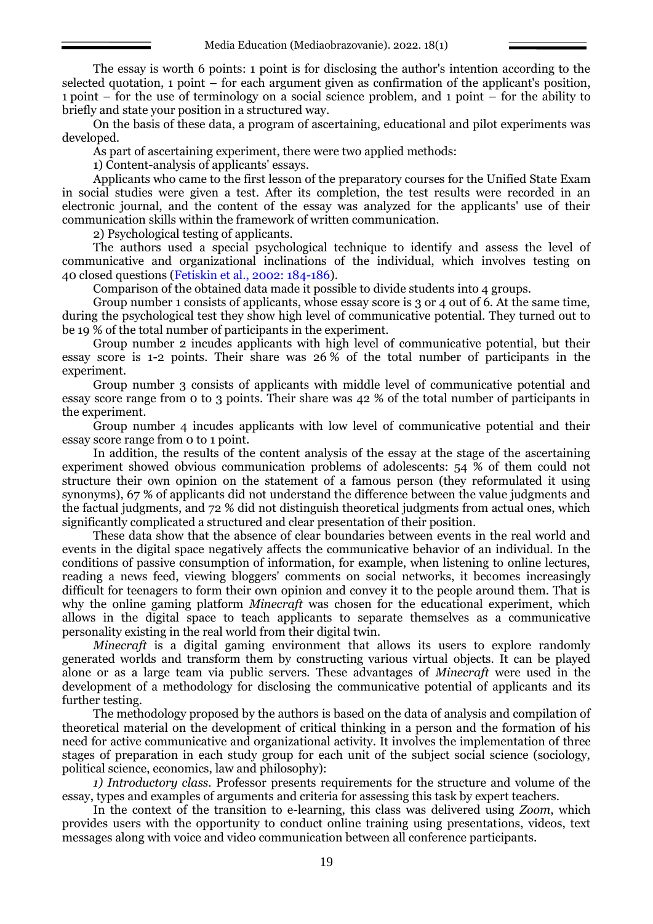The essay is worth 6 points: 1 point is for disclosing the author's intention according to the selected quotation, 1 point – for each argument given as confirmation of the applicant's position, 1 point – for the use of terminology on a social science problem, and 1 point – for the ability to briefly and state your position in a structured way.

On the basis of these data, a program of ascertaining, educational and pilot experiments was developed.

As part of ascertaining experiment, there were two applied methods:

1) Content-analysis of applicants' essays.

Applicants who came to the first lesson of the preparatory courses for the Unified State Exam in social studies were given a test. After its completion, the test results were recorded in an electronic journal, and the content of the essay was analyzed for the applicants' use of their communication skills within the framework of written communication.

2) Psychological testing of applicants.

The authors used a special psychological technique to identify and assess the level of communicative and organizational inclinations of the individual, which involves testing on 40 closed questions (Fetiskin et al., 2002: 184-186).

Comparison of the obtained data made it possible to divide students into 4 groups.

Group number 1 consists of applicants, whose essay score is 3 or 4 out of 6. At the same time, during the psychological test they show high level of communicative potential. They turned out to be 19 % of the total number of participants in the experiment.

Group number 2 incudes applicants with high level of communicative potential, but their essay score is 1-2 points. Their share was 26 % of the total number of participants in the experiment.

Group number 3 consists of applicants with middle level of communicative potential and essay score range from 0 to 3 points. Their share was 42 % of the total number of participants in the experiment.

Group number 4 incudes applicants with low level of communicative potential and their essay score range from 0 to 1 point.

In addition, the results of the content analysis of the essay at the stage of the ascertaining experiment showed obvious communication problems of adolescents: 54 % of them could not structure their own opinion on the statement of a famous person (they reformulated it using synonyms), 67 % of applicants did not understand the difference between the value judgments and the factual judgments, and 72 % did not distinguish theoretical judgments from actual ones, which significantly complicated a structured and clear presentation of their position.

These data show that the absence of clear boundaries between events in the real world and events in the digital space negatively affects the communicative behavior of an individual. In the conditions of passive consumption of information, for example, when listening to online lectures, reading a news feed, viewing bloggers' comments on social networks, it becomes increasingly difficult for teenagers to form their own opinion and convey it to the people around them. That is why the online gaming platform *Minecraft* was chosen for the educational experiment, which allows in the digital space to teach applicants to separate themselves as a communicative personality existing in the real world from their digital twin.

*Minecraft* is a digital gaming environment that allows its users to explore randomly generated worlds and transform them by constructing various virtual objects. It can be played alone or as a large team via public servers. These advantages of *Minecraft* were used in the development of a methodology for disclosing the communicative potential of applicants and its further testing.

The methodology proposed by the authors is based on the data of analysis and compilation of theoretical material on the development of critical thinking in a person and the formation of his need for active communicative and organizational activity. It involves the implementation of three stages of preparation in each study group for each unit of the subject social science (sociology, political science, economics, law and philosophy):

*1) Introductory class.* Professor presents requirements for the structure and volume of the essay, types and examples of arguments and criteria for assessing this task by expert teachers.

In the context of the transition to e-learning, this class was delivered using *Zoom*, which provides users with the opportunity to conduct online training using presentations, videos, text messages along with voice and video communication between all conference participants.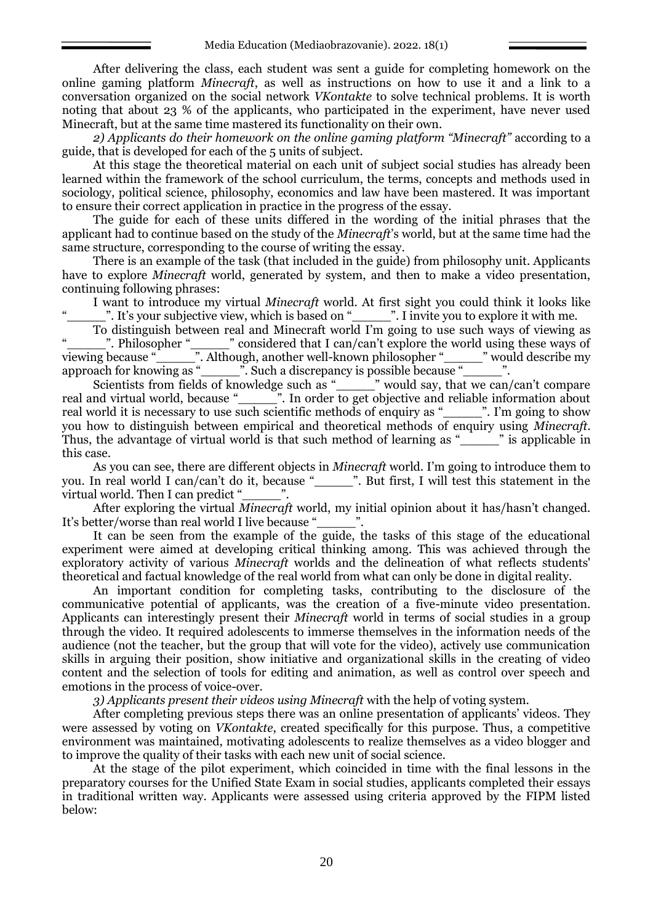After delivering the class, each student was sent a guide for completing homework on the online gaming platform *Minecraft*, as well as instructions on how to use it and a link to a conversation organized on the social network *VKontakte* to solve technical problems. It is worth noting that about 23 % of the applicants, who participated in the experiment, have never used Minecraft, but at the same time mastered its functionality on their own.

*2) Applicants do their homework on the online gaming platform "Minecraft"* according to a guide, that is developed for each of the 5 units of subject.

At this stage the theoretical material on each unit of subject social studies has already been learned within the framework of the school curriculum, the terms, concepts and methods used in sociology, political science, philosophy, economics and law have been mastered. It was important to ensure their correct application in practice in the progress of the essay.

The guide for each of these units differed in the wording of the initial phrases that the applicant had to continue based on the study of the *Minecraft*'s world, but at the same time had the same structure, corresponding to the course of writing the essay.

There is an example of the task (that included in the guide) from philosophy unit. Applicants have to explore *Minecraft* world, generated by system, and then to make a video presentation, continuing following phrases:

I want to introduce my virtual *Minecraft* world. At first sight you could think it looks like ". It's your subjective view, which is based on "\_\_\_\_\_\_\_". I invite you to explore it with me.

To distinguish between real and Minecraft world I'm going to use such ways of viewing as "\_\_\_\_\_\_\_". Philosopher "\_\_\_\_\_\_\_" considered that I can/can't explore the world using these ways of viewing because "\_\_\_\_\_". Although, another well-known philosopher "\_\_\_\_\_" would describe my approach for knowing as "\_\_\_\_\_". Such a discrepancy is possible because "\_\_\_\_\_".

Scientists from fields of knowledge such as "\_\_\_\_\_\_" would say, that we can/can't compare real and virtual world, because "\_\_\_\_\_". In order to get objective and reliable information about real world it is necessary to use such scientific methods of enquiry as "\_\_\_\_\_". I'm going to show you how to distinguish between empirical and theoretical methods of enquiry using *Minecraft.* Thus, the advantage of virtual world is that such method of learning as "<sup>"</sup> is applicable in this case.

As you can see, there are different objects in *Minecraft* world. I'm going to introduce them to you. In real world I can/can't do it, because "\_\_\_\_\_". But first, I will test this statement in the virtual world. Then I can predict "

After exploring the virtual *Minecraft* world, my initial opinion about it has/hasn't changed. It's better/worse than real world I live because "..."

It can be seen from the example of the guide, the tasks of this stage of the educational experiment were aimed at developing critical thinking among. This was achieved through the exploratory activity of various *Minecraft* worlds and the delineation of what reflects students' theoretical and factual knowledge of the real world from what can only be done in digital reality.

An important condition for completing tasks, contributing to the disclosure of the communicative potential of applicants, was the creation of a five-minute video presentation. Applicants can interestingly present their *Minecraft* world in terms of social studies in a group through the video. It required adolescents to immerse themselves in the information needs of the audience (not the teacher, but the group that will vote for the video), actively use communication skills in arguing their position, show initiative and organizational skills in the creating of video content and the selection of tools for editing and animation, as well as control over speech and emotions in the process of voice-over.

*3) Applicants present their videos using Minecraft* with the help of voting system.

After completing previous steps there was an online presentation of applicants' videos. They were assessed by voting on *VKontakte*, created specifically for this purpose. Thus, a competitive environment was maintained, motivating adolescents to realize themselves as a video blogger and to improve the quality of their tasks with each new unit of social science.

At the stage of the pilot experiment, which coincided in time with the final lessons in the preparatory courses for the Unified State Exam in social studies, applicants completed their essays in traditional written way. Applicants were assessed using criteria approved by the FIPM listed below: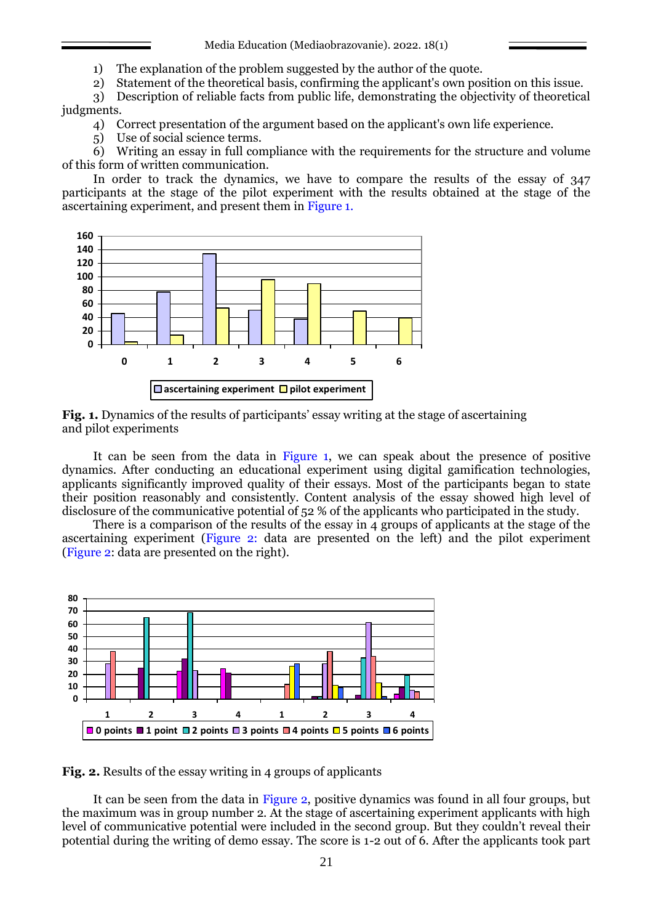Media Education (Mediaobrazovanie). 2022. 18(1)

1) The explanation of the problem suggested by the author of the quote.

2) Statement of the theoretical basis, confirming the applicant's own position on this issue.

3) Description of reliable facts from public life, demonstrating the objectivity of theoretical judgments.

4) Correct presentation of the argument based on the applicant's own life experience.

5) Use of social science terms.

6) Writing an essay in full compliance with the requirements for the structure and volume of this form of written communication.

In order to track the dynamics, we have to compare the results of the essay of 347 participants at the stage of the pilot experiment with the results obtained at the stage of the ascertaining experiment, and present them in Figure 1.



**Fig. 1.** Dynamics of the results of participants' essay writing at the stage of ascertaining and pilot experiments

It can be seen from the data in Figure 1, we can speak about the presence of positive dynamics. After conducting an educational experiment using digital gamification technologies, applicants significantly improved quality of their essays. Most of the participants began to state their position reasonably and consistently. Content analysis of the essay showed high level of disclosure of the communicative potential of 52 % of the applicants who participated in the study.

There is a comparison of the results of the essay in  $\vec{A}$  groups of applicants at the stage of the ascertaining experiment (Figure 2: data are presented on the left) and the pilot experiment (Figure 2: data are presented on the right).



**Fig. 2.** Results of the essay writing in 4 groups of applicants

It can be seen from the data in Figure 2, positive dynamics was found in all four groups, but the maximum was in group number 2. At the stage of ascertaining experiment applicants with high level of communicative potential were included in the second group. But they couldn't reveal their potential during the writing of demo essay. The score is 1-2 out of 6. After the applicants took part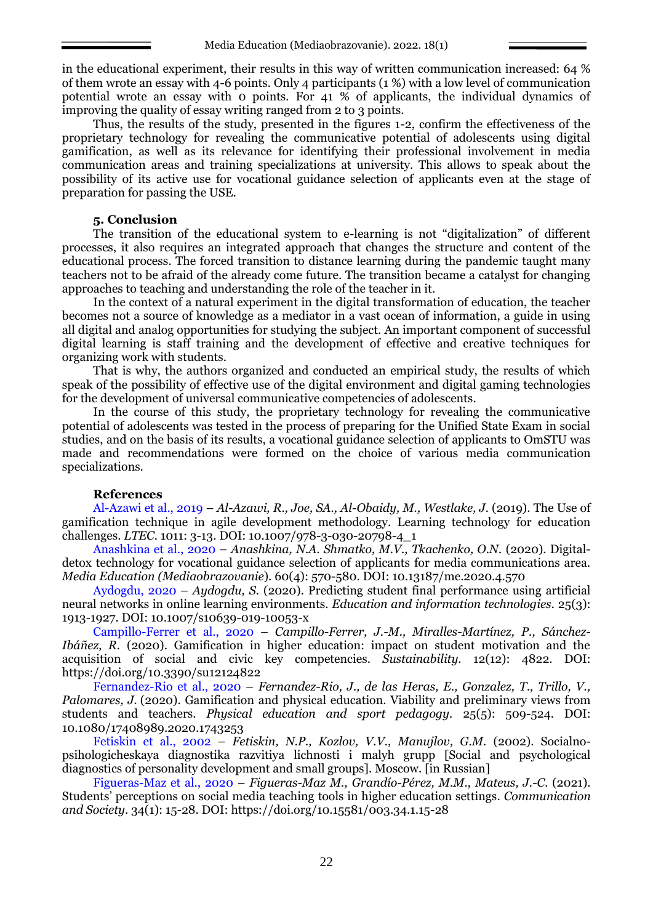in the educational experiment, their results in this way of written communication increased: 64 % of them wrote an essay with 4-6 points. Only 4 participants (1 %) with a low level of communication potential wrote an essay with 0 points. For 41 % of applicants, the individual dynamics of improving the quality of essay writing ranged from 2 to 3 points.

Thus, the results of the study, presented in the figures 1-2, confirm the effectiveness of the proprietary technology for revealing the communicative potential of adolescents using digital gamification, as well as its relevance for identifying their professional involvement in media communication areas and training specializations at university. This allows to speak about the possibility of its active use for vocational guidance selection of applicants even at the stage of preparation for passing the USE.

#### **5. Conclusion**

The transition of the educational system to e-learning is not "digitalization" of different processes, it also requires an integrated approach that changes the structure and content of the educational process. The forced transition to distance learning during the pandemic taught many teachers not to be afraid of the already come future. The transition became a catalyst for changing approaches to teaching and understanding the role of the teacher in it.

In the context of a natural experiment in the digital transformation of education, the teacher becomes not a source of knowledge as a mediator in a vast ocean of information, a guide in using all digital and analog opportunities for studying the subject. An important component of successful digital learning is staff training and the development of effective and creative techniques for organizing work with students.

That is why, the authors organized and conducted an empirical study, the results of which speak of the possibility of effective use of the digital environment and digital gaming technologies for the development of universal communicative competencies of adolescents.

In the course of this study, the proprietary technology for revealing the communicative potential of adolescents was tested in the process of preparing for the Unified State Exam in social studies, and on the basis of its results, a vocational guidance selection of applicants to OmSTU was made and recommendations were formed on the choice of various media communication specializations.

#### **References**

Al-Azawi et al., 2019 – *Al-Azawi, R., Joe, SA., Al-Obaidy, M., Westlake, J.* (2019). The Use of gamification technique in agile development methodology. Learning technology for education challenges. *LTEC.* 1011: 3-13. DOI: 10.1007/978-3-030-20798-4\_1

Anashkina et al., 2020 – *Anashkina, N.A. Shmatko, M.V., Tkachenko, O.N.* (2020). Digitaldetox technology for vocational guidance selection of applicants for media communications area. *Media Education (Mediaobrazovanie*). 60(4): 570-580. DOI: 10.13187/me.2020.4.570

Aydogdu, 2020 – *Aydogdu, S.* (2020). Predicting student final performance using artificial neural networks in online learning environments. *Education and information technologies.* 25(3): 1913-1927. DOI: 10.1007/s10639-019-10053-x

Campillo-Ferrer et al., 2020 – *Campillo-Ferrer, J.-M., Miralles-[Martínez, P.](https://www.scopus.com/authid/detail.uri?origin=resultslist&authorId=46461672000&zone=), [Sánchez](https://www.scopus.com/authid/detail.uri?origin=resultslist&authorId=57189035390&zone=)-[Ibáñez, R.](https://www.scopus.com/authid/detail.uri?origin=resultslist&authorId=57189035390&zone=)* (2020). Gamification in higher education: impact on student motivation and the acquisition of social and civic key competencies. *Sustainability.* 12(12): 4822. DOI: https://doi.org/10.3390/su12124822

Fernandez-Rio et al., 2020 – *Fernandez-Rio, J., de las Heras, E., Gonzalez, T., Trillo, V., Palomares, J.* (2020). Gamification and physical education. Viability and preliminary views from students and teachers. *Physical education and sport pedagogy.* 25(5): 509-524. DOI: 10.1080/17408989.2020.1743253

Fetiskin et al., 2002 – *Fetiskin, N.P., Kozlov, V.V., Manujlov, G.M.* (2002). Socialnopsihologicheskaya diagnostika razvitiya lichnosti i malyh grupp [Social and psychological diagnostics of personality development and small groups]. Moscow. [in Russian]

Figueras-Maz et al., 2020 – *Figueras-Maz M., Grandío-[Pérez, M.M.](https://www.scopus.com/authid/detail.uri?origin=resultslist&authorId=57219560688&zone=), [Mateus, J.-C.](https://www.scopus.com/authid/detail.uri?origin=resultslist&authorId=57201495616&zone=)* (2021). Students' perceptions on social media teaching tools in higher education settings. *[Communication](https://www.scopus.com/sourceid/5700164098?origin=resultslist)  [and Society](https://www.scopus.com/sourceid/5700164098?origin=resultslist)*. 34(1): 15-28. DOI: https://doi.org/10.15581/003.34.1.15-28